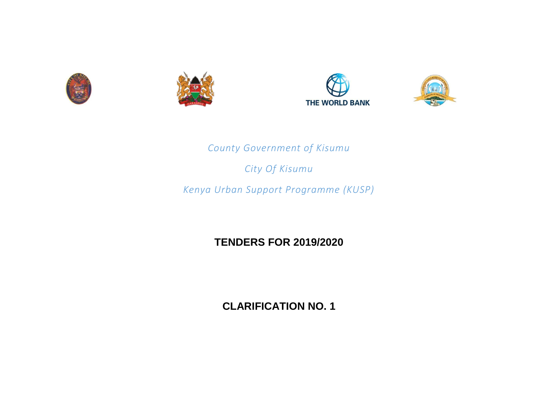







*County Government of Kisumu*

*City Of Kisumu*

*Kenya Urban Support Programme (KUSP)*

**TENDERS FOR 2019/2020**

**CLARIFICATION NO. 1**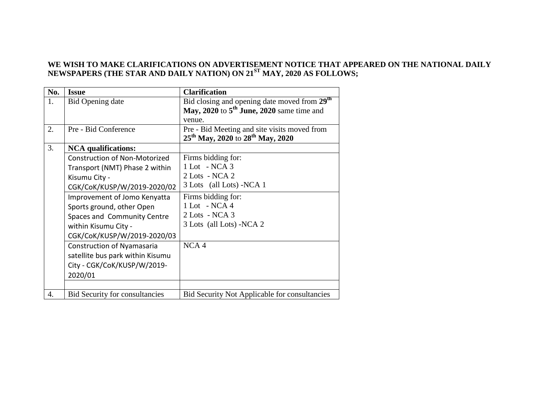## **WE WISH TO MAKE CLARIFICATIONS ON ADVERTISEMENT NOTICE THAT APPEARED ON THE NATIONAL DAILY NEWSPAPERS (THE STAR AND DAILY NATION) ON 21ST MAY, 2020 AS FOLLOWS;**

| No. | <b>Issue</b>                          | <b>Clarification</b>                                     |
|-----|---------------------------------------|----------------------------------------------------------|
| 1.  | Bid Opening date                      | Bid closing and opening date moved from 29 <sup>th</sup> |
|     |                                       | May, 2020 to $5th$ June, 2020 same time and              |
|     |                                       | venue.                                                   |
| 2.  | Pre - Bid Conference                  | Pre - Bid Meeting and site visits moved from             |
|     |                                       | 25 <sup>th</sup> May, 2020 to 28 <sup>th</sup> May, 2020 |
| 3.  | <b>NCA</b> qualifications:            |                                                          |
|     | <b>Construction of Non-Motorized</b>  | Firms bidding for:                                       |
|     | Transport (NMT) Phase 2 within        | 1 Lot - NCA 3                                            |
|     | Kisumu City -                         | $2$ Lots - NCA $2$                                       |
|     | CGK/CoK/KUSP/W/2019-2020/02           | 3 Lots (all Lots) -NCA 1                                 |
|     | Improvement of Jomo Kenyatta          | Firms bidding for:                                       |
|     | Sports ground, other Open             | 1 Lot - NCA 4                                            |
|     | Spaces and Community Centre           | $2$ Lots - NCA 3                                         |
|     | within Kisumu City -                  | 3 Lots (all Lots) -NCA 2                                 |
|     | CGK/CoK/KUSP/W/2019-2020/03           |                                                          |
|     | <b>Construction of Nyamasaria</b>     | NCA <sub>4</sub>                                         |
|     | satellite bus park within Kisumu      |                                                          |
|     | City - CGK/CoK/KUSP/W/2019-           |                                                          |
|     | 2020/01                               |                                                          |
|     |                                       |                                                          |
| 4.  | <b>Bid Security for consultancies</b> | <b>Bid Security Not Applicable for consultancies</b>     |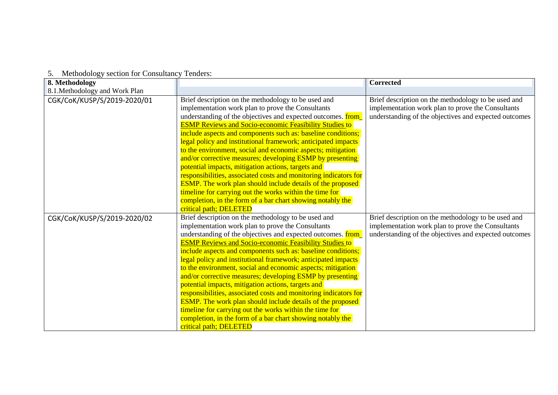| 3. INFIDUOIDEY SECTION TOT CONSUMERTY TENDETS. |                                                                                                                                                                                                                                                                                                                                                                                                                                                                                                                                                                                                                                                                                                                                                                                                                                                                |                                                                                                                                                                   |
|------------------------------------------------|----------------------------------------------------------------------------------------------------------------------------------------------------------------------------------------------------------------------------------------------------------------------------------------------------------------------------------------------------------------------------------------------------------------------------------------------------------------------------------------------------------------------------------------------------------------------------------------------------------------------------------------------------------------------------------------------------------------------------------------------------------------------------------------------------------------------------------------------------------------|-------------------------------------------------------------------------------------------------------------------------------------------------------------------|
| 8. Methodology                                 |                                                                                                                                                                                                                                                                                                                                                                                                                                                                                                                                                                                                                                                                                                                                                                                                                                                                | <b>Corrected</b>                                                                                                                                                  |
| 8.1. Methodology and Work Plan                 |                                                                                                                                                                                                                                                                                                                                                                                                                                                                                                                                                                                                                                                                                                                                                                                                                                                                |                                                                                                                                                                   |
| CGK/CoK/KUSP/S/2019-2020/01                    | Brief description on the methodology to be used and<br>implementation work plan to prove the Consultants<br>understanding of the objectives and expected outcomes. <b>from</b><br><b>ESMP Reviews and Socio-economic Feasibility Studies to</b><br>include aspects and components such as: baseline conditions;<br>legal policy and institutional framework; anticipated impacts<br>to the environment, social and economic aspects; mitigation<br>and/or corrective measures; developing ESMP by presenting<br>potential impacts, mitigation actions, targets and<br>responsibilities, associated costs and monitoring indicators for<br><b>ESMP.</b> The work plan should include details of the proposed<br>timeline for carrying out the works within the time for<br>completion, in the form of a bar chart showing notably the<br>critical path; DELETED | Brief description on the methodology to be used and<br>implementation work plan to prove the Consultants<br>understanding of the objectives and expected outcomes |
| CGK/CoK/KUSP/S/2019-2020/02                    | Brief description on the methodology to be used and<br>implementation work plan to prove the Consultants<br>understanding of the objectives and expected outcomes. <b>from</b><br><b>ESMP Reviews and Socio-economic Feasibility Studies to</b><br>include aspects and components such as: baseline conditions;<br>legal policy and institutional framework; anticipated impacts<br>to the environment, social and economic aspects; mitigation<br>and/or corrective measures; developing ESMP by presenting<br>potential impacts, mitigation actions, targets and<br>responsibilities, associated costs and monitoring indicators for<br><b>ESMP.</b> The work plan should include details of the proposed<br>timeline for carrying out the works within the time for<br>completion, in the form of a bar chart showing notably the<br>critical path; DELETED | Brief description on the methodology to be used and<br>implementation work plan to prove the Consultants<br>understanding of the objectives and expected outcomes |

## 5. Methodology section for Consultancy Tenders: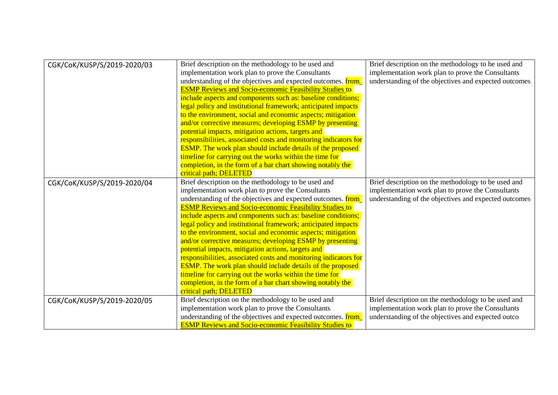| CGK/CoK/KUSP/S/2019-2020/03 | Brief description on the methodology to be used and<br>implementation work plan to prove the Consultants<br>understanding of the objectives and expected outcomes. <b>from</b><br><b>ESMP Reviews and Socio-economic Feasibility Studies to</b><br>include aspects and components such as: baseline conditions;<br>legal policy and institutional framework; anticipated impacts<br>to the environment, social and economic aspects; mitigation<br>and/or corrective measures; developing ESMP by presenting<br>potential impacts, mitigation actions, targets and                                                                                                                                                                                                                                                                                             | Brief description on the methodology to be used and<br>implementation work plan to prove the Consultants<br>understanding of the objectives and expected outcomes |
|-----------------------------|----------------------------------------------------------------------------------------------------------------------------------------------------------------------------------------------------------------------------------------------------------------------------------------------------------------------------------------------------------------------------------------------------------------------------------------------------------------------------------------------------------------------------------------------------------------------------------------------------------------------------------------------------------------------------------------------------------------------------------------------------------------------------------------------------------------------------------------------------------------|-------------------------------------------------------------------------------------------------------------------------------------------------------------------|
|                             | responsibilities, associated costs and monitoring indicators for<br><b>ESMP.</b> The work plan should include details of the proposed<br>timeline for carrying out the works within the time for<br>completion, in the form of a bar chart showing notably the<br>critical path; DELETED                                                                                                                                                                                                                                                                                                                                                                                                                                                                                                                                                                       |                                                                                                                                                                   |
| CGK/CoK/KUSP/S/2019-2020/04 | Brief description on the methodology to be used and<br>implementation work plan to prove the Consultants<br>understanding of the objectives and expected outcomes. <b>from</b><br><b>ESMP Reviews and Socio-economic Feasibility Studies to</b><br>include aspects and components such as: baseline conditions;<br>legal policy and institutional framework; anticipated impacts<br>to the environment, social and economic aspects; mitigation<br>and/or corrective measures; developing ESMP by presenting<br>potential impacts, mitigation actions, targets and<br>responsibilities, associated costs and monitoring indicators for<br><b>ESMP.</b> The work plan should include details of the proposed<br>timeline for carrying out the works within the time for<br>completion, in the form of a bar chart showing notably the<br>critical path; DELETED | Brief description on the methodology to be used and<br>implementation work plan to prove the Consultants<br>understanding of the objectives and expected outcomes |
| CGK/CoK/KUSP/S/2019-2020/05 | Brief description on the methodology to be used and<br>implementation work plan to prove the Consultants<br>understanding of the objectives and expected outcomes. from_<br><b>ESMP Reviews and Socio-economic Feasibility Studies to</b>                                                                                                                                                                                                                                                                                                                                                                                                                                                                                                                                                                                                                      | Brief description on the methodology to be used and<br>implementation work plan to prove the Consultants<br>understanding of the objectives and expected outco    |